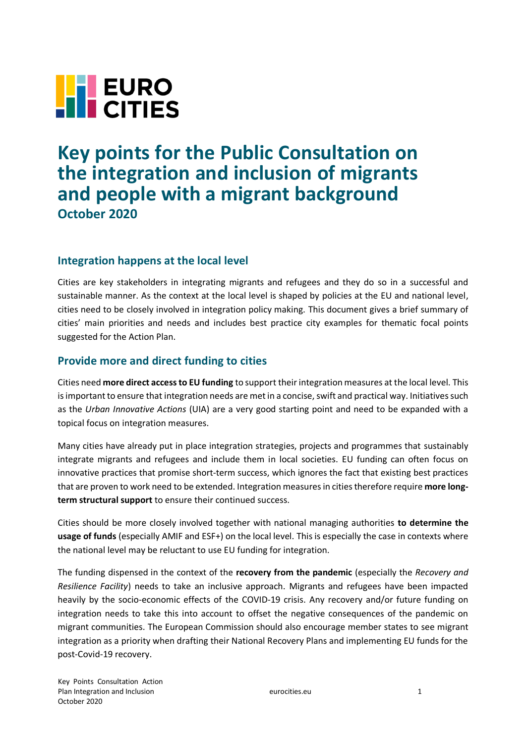

# **Key points for the Public Consultation on the integration and inclusion of migrants and people with a migrant background October 2020**

## **Integration happens at the local level**

Cities are key stakeholders in integrating migrants and refugees and they do so in a successful and sustainable manner. As the context at the local level is shaped by policies at the EU and national level, cities need to be closely involved in integration policy making. This document gives a brief summary of cities' main priorities and needs and includes best practice city examples for thematic focal points suggested for the Action Plan.

## **Provide more and direct funding to cities**

Cities need **more direct access to EU funding** to support their integration measures at the local level. This is important to ensure that integration needs are met in a concise, swift and practical way. Initiatives such as the *Urban Innovative Actions* (UIA) are a very good starting point and need to be expanded with a topical focus on integration measures.

Many cities have already put in place integration strategies, projects and programmes that sustainably integrate migrants and refugees and include them in local societies. EU funding can often focus on innovative practices that promise short-term success, which ignores the fact that existing best practices that are proven to work need to be extended. Integration measures in cities therefore require **more longterm structural support** to ensure their continued success.

Cities should be more closely involved together with national managing authorities **to determine the usage of funds** (especially AMIF and ESF+) on the local level. This is especially the case in contexts where the national level may be reluctant to use EU funding for integration.

The funding dispensed in the context of the **recovery from the pandemic** (especially the *Recovery and Resilience Facility*) needs to take an inclusive approach. Migrants and refugees have been impacted heavily by the socio-economic effects of the COVID-19 crisis. Any recovery and/or future funding on integration needs to take this into account to offset the negative consequences of the pandemic on migrant communities. The European Commission should also encourage member states to see migrant integration as a priority when drafting their National Recovery Plans and implementing EU funds for the post-Covid-19 recovery.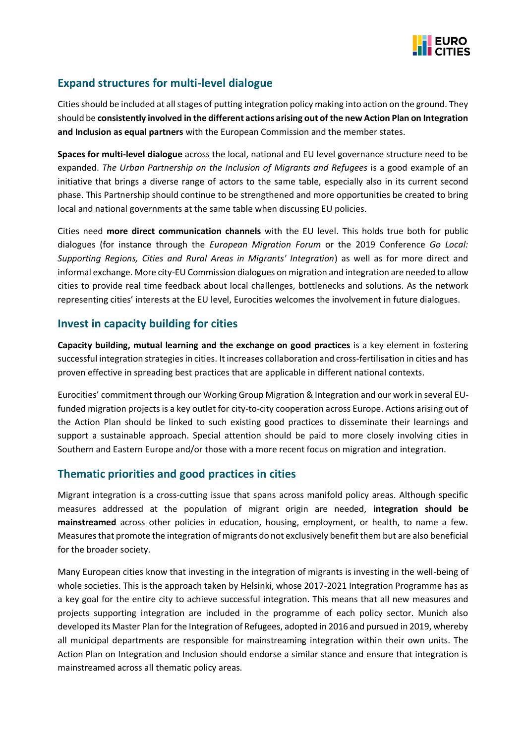

## **Expand structures for multi-level dialogue**

Cities should be included at all stages of putting integration policy making into action on the ground. They should be **consistently involved in the different actions arising out of the new Action Plan on Integration and Inclusion as equal partners** with the European Commission and the member states.

**Spaces for multi-level dialogue** across the local, national and EU level governance structure need to be expanded. *The Urban Partnership on the Inclusion of Migrants and Refugees* is a good example of an initiative that brings a diverse range of actors to the same table, especially also in its current second phase. This Partnership should continue to be strengthened and more opportunities be created to bring local and national governments at the same table when discussing EU policies.

Cities need **more direct communication channels** with the EU level. This holds true both for public dialogues (for instance through the *European Migration Forum* or the 2019 Conference *Go Local: Supporting Regions, Cities and Rural Areas in Migrants' Integration*) as well as for more direct and informal exchange. More city-EU Commission dialogues on migration and integration are needed to allow cities to provide real time feedback about local challenges, bottlenecks and solutions. As the network representing cities' interests at the EU level, Eurocities welcomes the involvement in future dialogues.

## **Invest in capacity building for cities**

**Capacity building, mutual learning and the exchange on good practices** is a key element in fostering successful integration strategies in cities. It increases collaboration and cross-fertilisation in cities and has proven effective in spreading best practices that are applicable in different national contexts.

Eurocities' commitment through our Working Group Migration & Integration and our work in several EUfunded migration projects is a key outlet for city-to-city cooperation across Europe. Actions arising out of the Action Plan should be linked to such existing good practices to disseminate their learnings and support a sustainable approach. Special attention should be paid to more closely involving cities in Southern and Eastern Europe and/or those with a more recent focus on migration and integration.

### **Thematic priorities and good practices in cities**

Migrant integration is a cross-cutting issue that spans across manifold policy areas. Although specific measures addressed at the population of migrant origin are needed, **integration should be mainstreamed** across other policies in education, housing, employment, or health, to name a few. Measures that promote the integration of migrants do not exclusively benefit them but are also beneficial for the broader society.

Many European cities know that investing in the integration of migrants is investing in the well-being of whole societies. This is the approach taken by Helsinki, whose 2017-2021 Integration Programme has as a key goal for the entire city to achieve successful integration. This means that all new measures and projects supporting integration are included in the programme of each policy sector. Munich also developed its Master Plan for the Integration of Refugees, adopted in 2016 and pursued in 2019, whereby all municipal departments are responsible for mainstreaming integration within their own units. The Action Plan on Integration and Inclusion should endorse a similar stance and ensure that integration is mainstreamed across all thematic policy areas.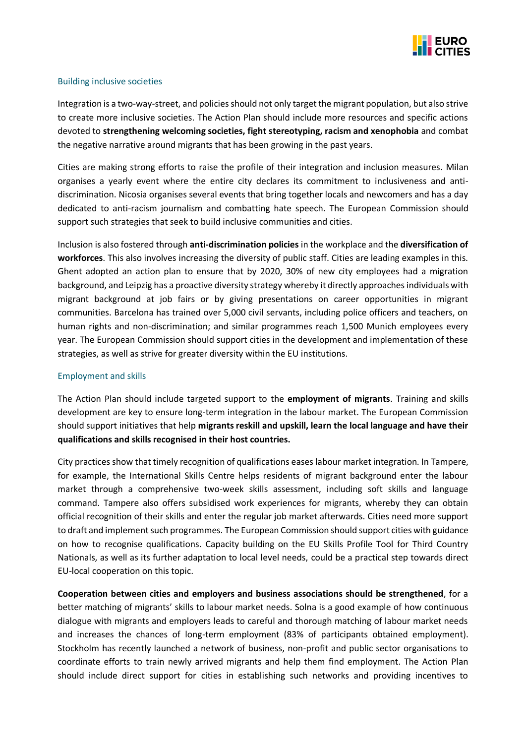

#### Building inclusive societies

Integration is a two-way-street, and policies should not only target the migrant population, but also strive to create more inclusive societies. The Action Plan should include more resources and specific actions devoted to **strengthening welcoming societies, fight stereotyping, racism and xenophobia** and combat the negative narrative around migrants that has been growing in the past years.

Cities are making strong efforts to raise the profile of their integration and inclusion measures. Milan organises a yearly event where the entire city declares its commitment to inclusiveness and antidiscrimination. Nicosia organises several events that bring together locals and newcomers and has a day dedicated to anti-racism journalism and combatting hate speech. The European Commission should support such strategies that seek to build inclusive communities and cities.

Inclusion is also fostered through **anti-discrimination policies** in the workplace and the **diversification of workforces**. This also involves increasing the diversity of public staff. Cities are leading examples in this. Ghent adopted an action plan to ensure that by 2020, 30% of new city employees had a migration background, and Leipzig has a proactive diversity strategy whereby it directly approaches individuals with migrant background at job fairs or by giving presentations on career opportunities in migrant communities. Barcelona has trained over 5,000 civil servants, including police officers and teachers, on human rights and non-discrimination; and similar programmes reach 1,500 Munich employees every year. The European Commission should support cities in the development and implementation of these strategies, as well as strive for greater diversity within the EU institutions.

#### Employment and skills

The Action Plan should include targeted support to the **employment of migrants**. Training and skills development are key to ensure long-term integration in the labour market. The European Commission should support initiatives that help **migrants reskill and upskill, learn the local language and have their qualifications and skills recognised in their host countries.**

City practices show that timely recognition of qualifications eases labour market integration. In Tampere, for example, the International Skills Centre helps residents of migrant background enter the labour market through a comprehensive two-week skills assessment, including soft skills and language command. Tampere also offers subsidised work experiences for migrants, whereby they can obtain official recognition of their skills and enter the regular job market afterwards. Cities need more support to draft and implement such programmes. The European Commission should support cities with guidance on how to recognise qualifications. Capacity building on the EU Skills Profile Tool for Third Country Nationals, as well as its further adaptation to local level needs, could be a practical step towards direct EU-local cooperation on this topic.

**Cooperation between cities and employers and business associations should be strengthened**, for a better matching of migrants' skills to labour market needs. Solna is a good example of how continuous dialogue with migrants and employers leads to careful and thorough matching of labour market needs and increases the chances of long-term employment (83% of participants obtained employment). Stockholm has recently launched a network of business, non-profit and public sector organisations to coordinate efforts to train newly arrived migrants and help them find employment. The Action Plan should include direct support for cities in establishing such networks and providing incentives to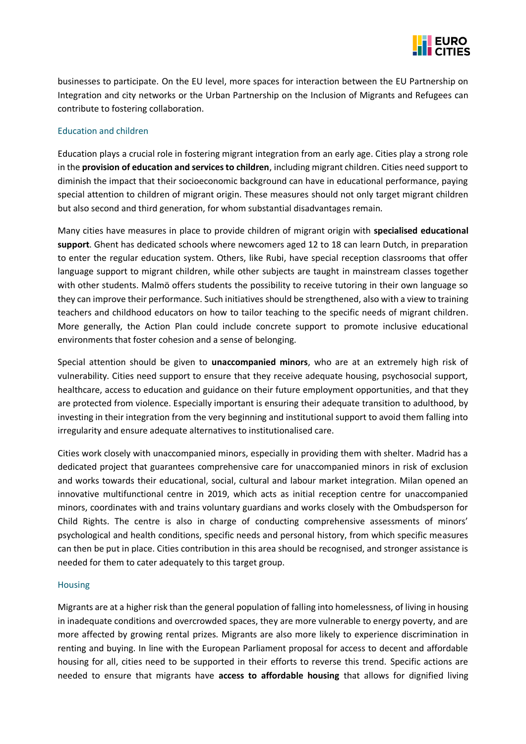

businesses to participate. On the EU level, more spaces for interaction between the EU Partnership on Integration and city networks or the Urban Partnership on the Inclusion of Migrants and Refugees can contribute to fostering collaboration.

#### Education and children

Education plays a crucial role in fostering migrant integration from an early age. Cities play a strong role in the **provision of education and services to children**, including migrant children. Cities need support to diminish the impact that their socioeconomic background can have in educational performance, paying special attention to children of migrant origin. These measures should not only target migrant children but also second and third generation, for whom substantial disadvantages remain.

Many cities have measures in place to provide children of migrant origin with **specialised educational support**. Ghent has dedicated schools where newcomers aged 12 to 18 can learn Dutch, in preparation to enter the regular education system. Others, like Rubi, have special reception classrooms that offer language support to migrant children, while other subjects are taught in mainstream classes together with other students. Malmö offers students the possibility to receive tutoring in their own language so they can improve their performance. Such initiatives should be strengthened, also with a view to training teachers and childhood educators on how to tailor teaching to the specific needs of migrant children. More generally, the Action Plan could include concrete support to promote inclusive educational environments that foster cohesion and a sense of belonging.

Special attention should be given to **unaccompanied minors**, who are at an extremely high risk of vulnerability. Cities need support to ensure that they receive adequate housing, psychosocial support, healthcare, access to education and guidance on their future employment opportunities, and that they are protected from violence. Especially important is ensuring their adequate transition to adulthood, by investing in their integration from the very beginning and institutional support to avoid them falling into irregularity and ensure adequate alternatives to institutionalised care.

Cities work closely with unaccompanied minors, especially in providing them with shelter. Madrid has a dedicated project that guarantees comprehensive care for unaccompanied minors in risk of exclusion and works towards their educational, social, cultural and labour market integration. Milan opened an innovative multifunctional centre in 2019, which acts as initial reception centre for unaccompanied minors, coordinates with and trains voluntary guardians and works closely with the Ombudsperson for Child Rights. The centre is also in charge of conducting comprehensive assessments of minors' psychological and health conditions, specific needs and personal history, from which specific measures can then be put in place. Cities contribution in this area should be recognised, and stronger assistance is needed for them to cater adequately to this target group.

#### **Housing**

Migrants are at a higher risk than the general population of falling into homelessness, of living in housing in inadequate conditions and overcrowded spaces, they are more vulnerable to energy poverty, and are more affected by growing rental prizes. Migrants are also more likely to experience discrimination in renting and buying. In line with the European Parliament proposal for access to decent and affordable housing for all, cities need to be supported in their efforts to reverse this trend. Specific actions are needed to ensure that migrants have **access to affordable housing** that allows for dignified living